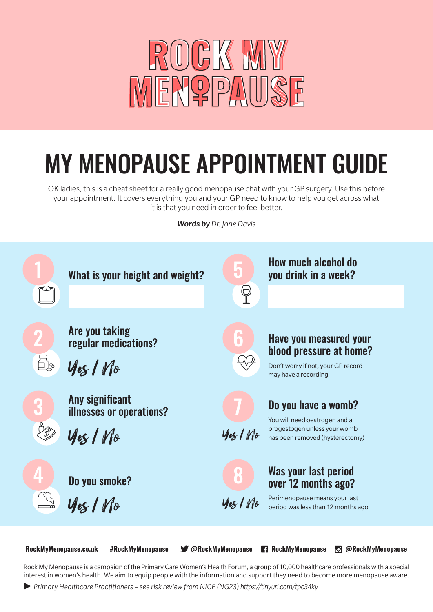

# MY MENOPAUSE APPOINTMENT GUIDE

OK ladies, this is a cheat sheet for a really good menopause chat with your GP surgery. Use this before your appointment. It covers everything you and your GP need to know to help you get across what it is that you need in order to feel better.

*Words by Dr. Jane Davis*



**RockMyMenopause.co.uk #RockMyMenopause @RockMyMenopause RockMyMenopause @RockMyMenopause**

Rock My Menopause is a campaign of the Primary Care Women's Health Forum, a group of 10,000 healthcare professionals with a special interest in women's health. We aim to equip people with the information and support they need to become more menopause aware.

► *Primary Healthcare Practitioners – see risk review from NICE (NG23) https://tinyurl.com/tpc34ky*